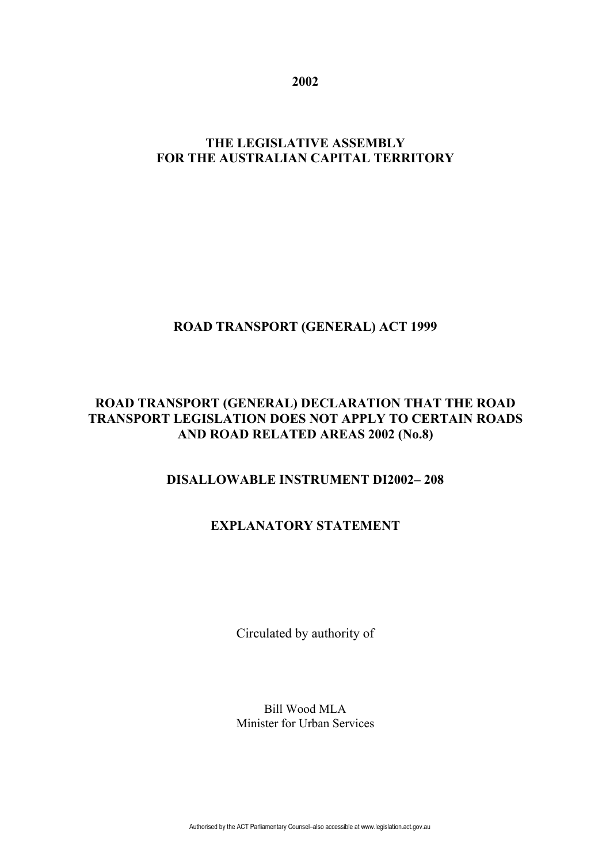**2002**

# **THE LEGISLATIVE ASSEMBLY FOR THE AUSTRALIAN CAPITAL TERRITORY**

# **ROAD TRANSPORT (GENERAL) ACT 1999**

### **ROAD TRANSPORT (GENERAL) DECLARATION THAT THE ROAD TRANSPORT LEGISLATION DOES NOT APPLY TO CERTAIN ROADS AND ROAD RELATED AREAS 2002 (No.8)**

# **DISALLOWABLE INSTRUMENT DI2002– 208**

# **EXPLANATORY STATEMENT**

Circulated by authority of

Bill Wood MLA Minister for Urban Services